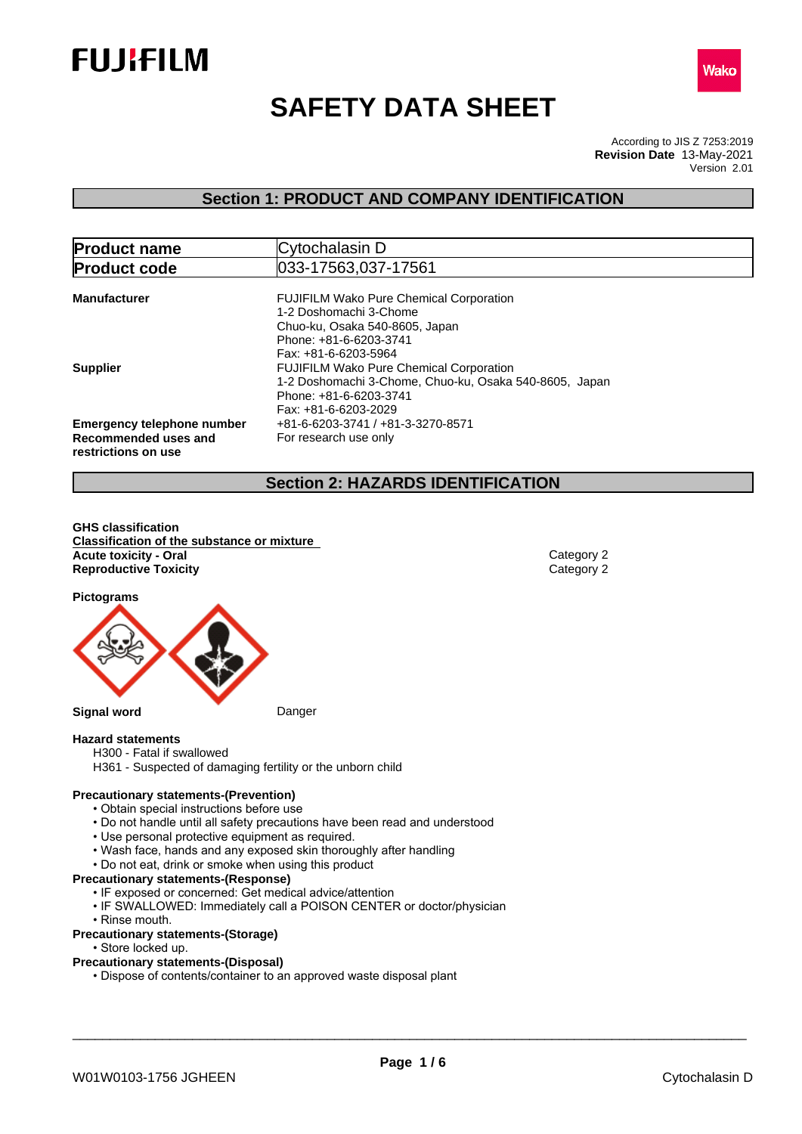



# **SAFETY DATA SHEET**

According to JIS Z 7253:2019 Version 2.01 **Revision Date** 13-May-2021

## **Section 1: PRODUCT AND COMPANY IDENTIFICATION**

| <b>Product name</b>               | Cytochalasin D                                         |
|-----------------------------------|--------------------------------------------------------|
| <b>Product code</b>               | 033-17563,037-17561                                    |
| <b>Manufacturer</b>               | <b>FUJIFILM Wako Pure Chemical Corporation</b>         |
|                                   | 1-2 Doshomachi 3-Chome                                 |
|                                   | Chuo-ku, Osaka 540-8605, Japan                         |
|                                   | Phone: +81-6-6203-3741                                 |
|                                   | Fax: +81-6-6203-5964                                   |
| <b>Supplier</b>                   | <b>FUJIFILM Wako Pure Chemical Corporation</b>         |
|                                   | 1-2 Doshomachi 3-Chome, Chuo-ku, Osaka 540-8605, Japan |
|                                   | Phone: +81-6-6203-3741                                 |
|                                   | Fax: +81-6-6203-2029                                   |
| <b>Emergency telephone number</b> | +81-6-6203-3741 / +81-3-3270-8571                      |
| Recommended uses and              | For research use only                                  |
| restrictions on use               |                                                        |

## **Section 2: HAZARDS IDENTIFICATION**

**GHS classification Classification of the substance or mixture Acute toxicity - Oral** Category 2 **Reproductive Toxicity** Category 2

**Pictograms**



#### **Hazard statements**

- H300 Fatal if swallowed
- H361 Suspected of damaging fertility or the unborn child

#### **Precautionary statements-(Prevention)**

- Obtain special instructions before use
- Do not handle until all safety precautions have been read and understood
- Use personal protective equipment as required.
- Wash face, hands and any exposed skin thoroughly after handling
- Do not eat, drink or smoke when using this product

#### **Precautionary statements-(Response)**

- IF exposed or concerned: Get medical advice/attention
- IF SWALLOWED: Immediately call a POISON CENTER or doctor/physician
- Rinse mouth.

#### **Precautionary statements-(Storage)**

• Store locked up.

#### **Precautionary statements-(Disposal)**

• Dispose of contents/container to an approved waste disposal plant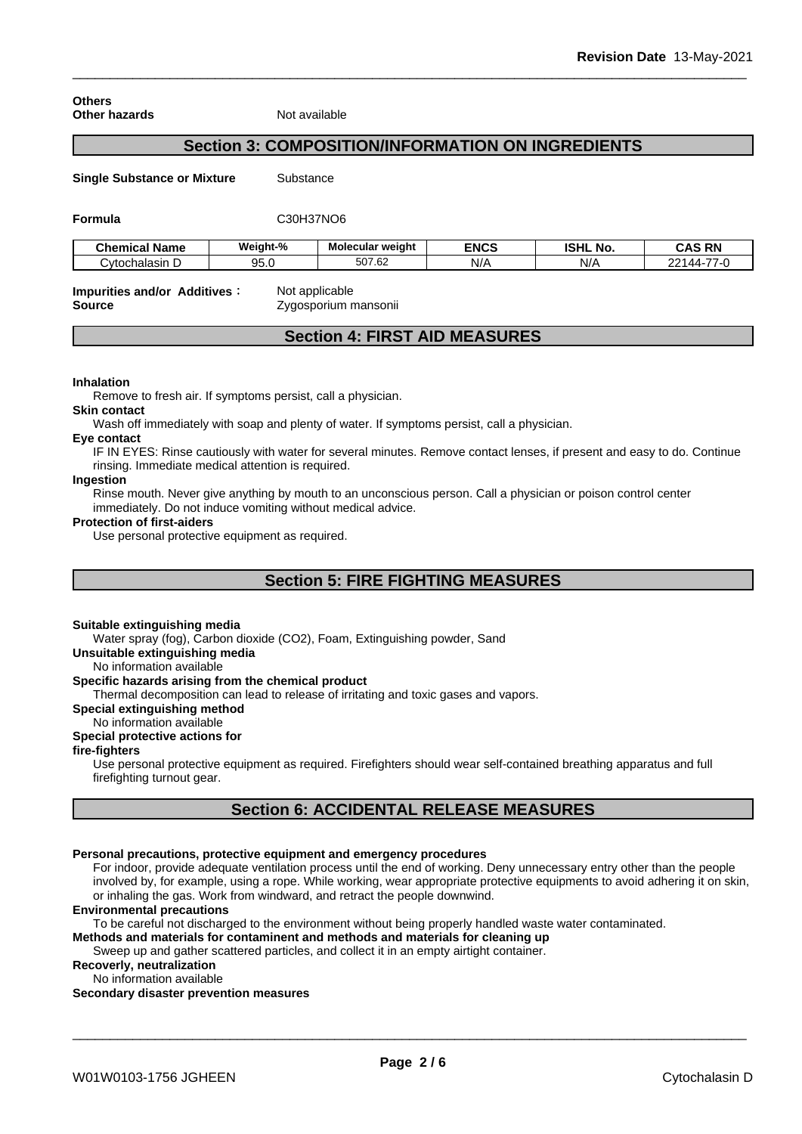#### **Others Other hazards** Not available

## **Section 3: COMPOSITION/INFORMATION ON INGREDIENTS**

**Single Substance or Mixture** Substance

#### **Formula** C30H37NO6

| . .<br><b>Chemical Name</b> | Weight-%   | Molecular weight | <b>ENCS</b> | <b>ISHL</b><br>. NO. | <b>CAS RN</b>                            |
|-----------------------------|------------|------------------|-------------|----------------------|------------------------------------------|
| ⊜∨tochalasir<br>ى .         | ΩF<br>90.U | 507.62           | N/f         | N/f                  | $\overline{\phantom{a}}$<br>ົາລາ<br>144. |

#### **Impurities and/or Additives :** Not applicable **Source Contract Source Zygosporium mansonii**

## **Section 4: FIRST AID MEASURES**

#### **Inhalation**

Remove to fresh air. If symptoms persist, call a physician.

#### **Skin contact**

Wash off immediately with soap and plenty of water. If symptoms persist, calla physician.

#### **Eye contact**

IF IN EYES: Rinse cautiously with water forseveral minutes. Remove contact lenses, if present and easy to do. Continue rinsing. Immediate medical attention is required.

#### **Ingestion**

Rinse mouth. Never give anything by mouth to an unconscious person. Call a physician or poison control center immediately. Do not induce vomiting without medical advice.

#### **Protection of first-aiders**

Use personal protective equipment as required.

## **Section 5: FIRE FIGHTING MEASURES**

#### **Suitable extinguishing media**

Water spray (fog), Carbon dioxide (CO2), Foam, Extinguishing powder, Sand

**Unsuitable extinguishing media**

No information available

#### **Specific hazards arising from the chemical product**

Thermal decomposition can lead to release of irritating and toxic gases and vapors.

**Special extinguishing method**

#### No information available

## **Special protective actions for**

**fire-fighters**

Use personal protective equipment as required.Firefighters should wear self-contained breathing apparatus and full firefighting turnout gear.

## **Section 6: ACCIDENTAL RELEASE MEASURES**

#### **Personal precautions, protective equipment and emergency procedures**

For indoor, provide adequate ventilation process until the end of working. Deny unnecessary entry other than the people involved by, for example, using a rope. While working, wear appropriate protective equipments to avoid adhering it on skin, or inhaling the gas. Work from windward, and retract the people downwind.

#### **Environmental precautions**

To be careful not discharged to the environment without being properly handled waste water contaminated.

**Methods and materials for contaminent and methods and materials for cleaning up**

Sweep up and gather scattered particles, and collect it in an empty airtight container.

**Recoverly, neutralization** No information available

## **Secondary disaster prevention measures**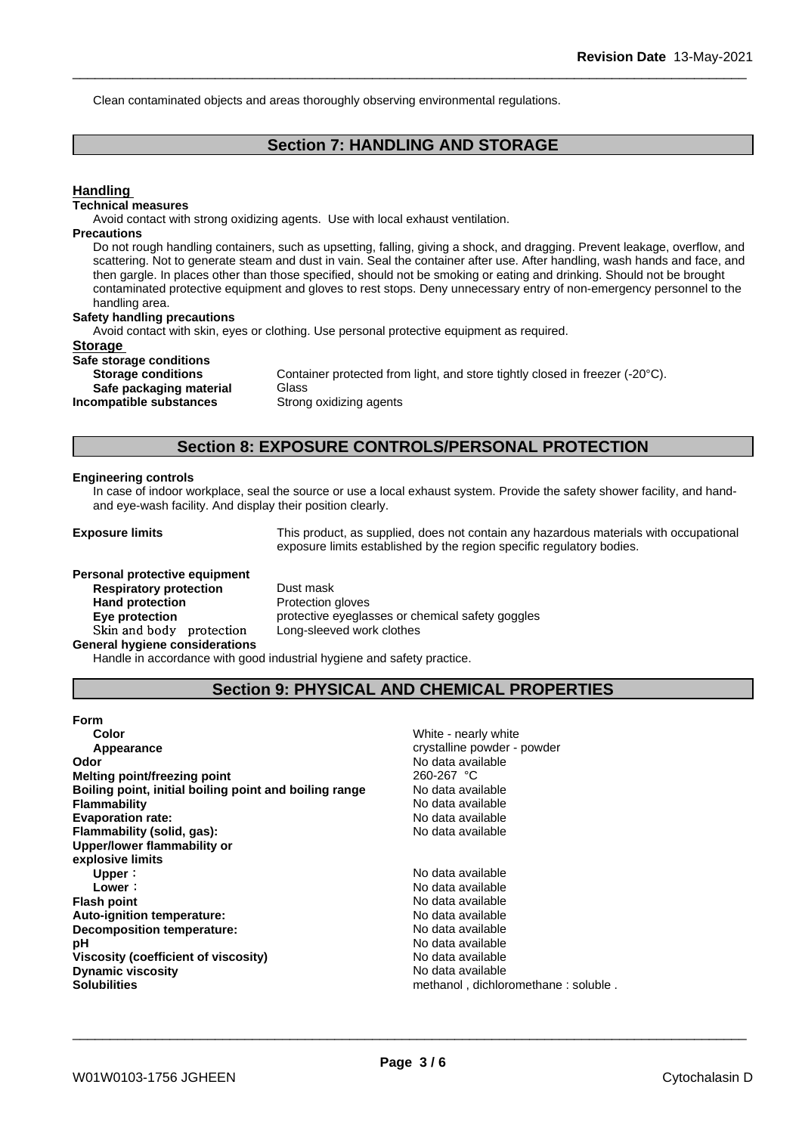Clean contaminated objects and areas thoroughly observing environmental regulations.

## **Section 7: HANDLING AND STORAGE**

## **Handling Technical measures** Avoid contact with strong oxidizing agents. Use with local exhaust ventilation. **Precautions** Do not rough handling containers, such as upsetting, falling, giving a shock, and dragging. Prevent leakage, overflow, and scattering. Not to generate steam and dust in vain. Seal the container after use. After handling, wash hands and face, and then gargle. In places other than those specified, should not be smoking or eating and drinking. Should not be brought contaminated protective equipment and gloves to rest stops. Deny unnecessary entry of non-emergency personnel to the handling area. **Safety handling precautions** Avoid contact with skin, eyes or clothing. Use personal protective equipment as required.**Storage Safe storage conditions Storage conditions** Container protected from light, and store tightly closed in freezer (-20°C). **Safe packaging material** Glass **Incompatible substances** Strong oxidizing agents **Section 8: EXPOSURE CONTROLS/PERSONAL PROTECTION**

#### **Engineering controls**

In case of indoor workplace, seal the source or use a local exhaust system. Provide the safety shower facility, and handand eye-wash facility. And display their position clearly.

**Exposure limits** This product, as supplied, does not contain any hazardous materials with occupational exposure limits established by the region specific regulatory bodies.

**Personal protective equipment Respiratory protection** Dust mask Hand protection **Protection** Protection gloves **Skinandbody protection** Long-sleeved work clothes **General hygiene considerations**

**Eye protection Eye protective eyeglasses or chemical safety goggles** 

Handle in accordance with good industrial hygiene and safety practice.

## **Section 9: PHYSICAL AND CHEMICAL PROPERTIES**

| <b>Form</b>                                            |                                     |
|--------------------------------------------------------|-------------------------------------|
| Color                                                  | White - nearly white                |
| Appearance                                             | crystalline powder - powder         |
| Odor                                                   | No data available                   |
| Melting point/freezing point                           | 260-267 °C                          |
| Boiling point, initial boiling point and boiling range | No data available                   |
| <b>Flammability</b>                                    | No data available                   |
| <b>Evaporation rate:</b>                               | No data available                   |
| Flammability (solid, gas):                             | No data available                   |
| Upper/lower flammability or                            |                                     |
| explosive limits                                       |                                     |
| Upper:                                                 | No data available                   |
| Lower:                                                 | No data available                   |
| <b>Flash point</b>                                     | No data available                   |
| <b>Auto-ignition temperature:</b>                      | No data available                   |
| Decomposition temperature:                             | No data available                   |
| рH                                                     | No data available                   |
| Viscosity (coefficient of viscosity)                   | No data available                   |
| <b>Dynamic viscosity</b>                               | No data available                   |
| <b>Solubilities</b>                                    | methanol, dichloromethane: soluble. |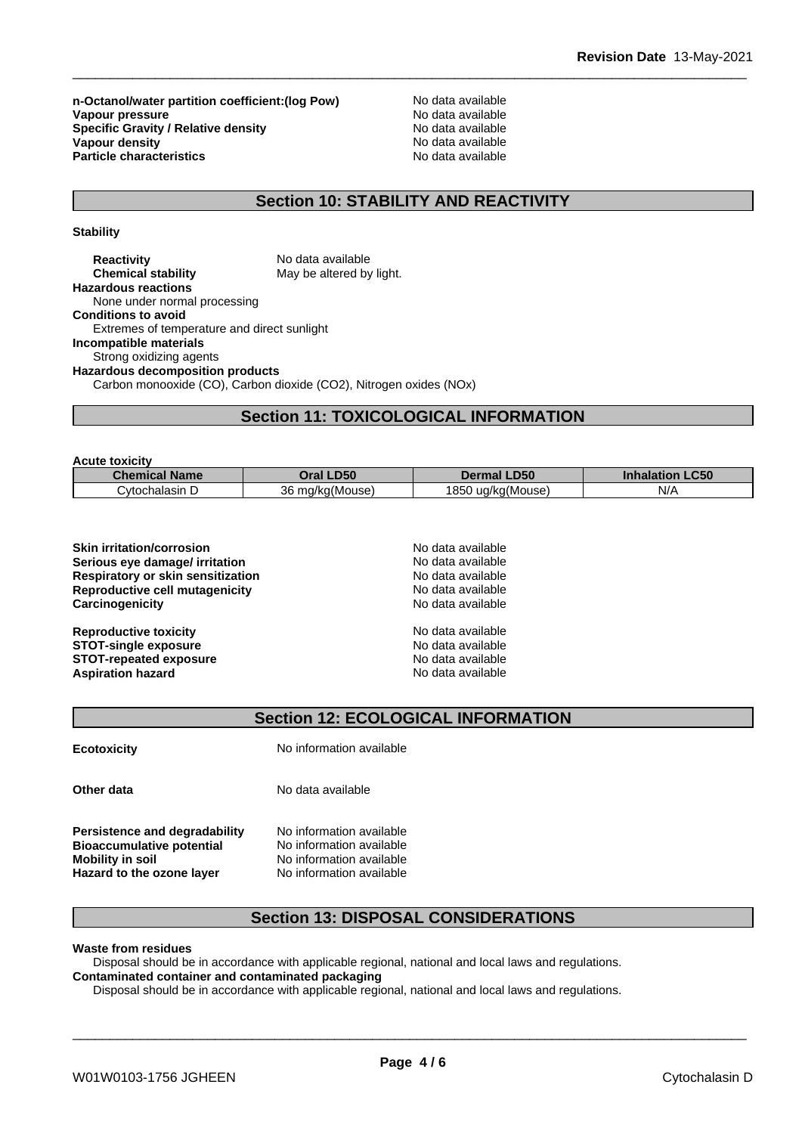**n-Octanol/water partition coefficient:(log Pow) No data available<br>
<b>Vapour pressure** No data available **Vapour pressure**<br> **Specific Gravity / Relative density**<br> **Specific Gravity / Relative density**<br> **No data available Specific Gravity / Relative density**<br> **Vapour density**<br> **Vapour density**<br> **Vapour density Vapour density**<br> **Particle characteristics**<br> **Particle characteristics**<br> **Particle characteristics Particle characteristics** 

## **Section 10: STABILITY AND REACTIVITY**

**Stability**

| <b>Reactivity</b>                           | No data available                                                  |
|---------------------------------------------|--------------------------------------------------------------------|
| <b>Chemical stability</b>                   | May be altered by light.                                           |
| <b>Hazardous reactions</b>                  |                                                                    |
| None under normal processing                |                                                                    |
| <b>Conditions to avoid</b>                  |                                                                    |
| Extremes of temperature and direct sunlight |                                                                    |
| <b>Incompatible materials</b>               |                                                                    |
| Strong oxidizing agents                     |                                                                    |
| <b>Hazardous decomposition products</b>     |                                                                    |
|                                             | Carbon monooxide (CO), Carbon dioxide (CO2), Nitrogen oxides (NOx) |
|                                             |                                                                    |

# **Section 11: TOXICOLOGICAL INFORMATION**

| <b>Acute toxicity</b> |                 |                      |                                  |
|-----------------------|-----------------|----------------------|----------------------------------|
| <b>Chemical Name</b>  | Oral LD50       | <b>Dermal LD50</b>   | <b>LC50</b><br><b>Inhalation</b> |
| Cvtochalasin D        | 36 ma/ka(Mouse) | 1850<br>ug/kg(Mouse) | N/A                              |

| No data available |  |
|-------------------|--|
| No data available |  |
| No data available |  |
| No data available |  |
| No data available |  |
| No data available |  |
| No data available |  |
| No data available |  |
| No data available |  |
|                   |  |

## **Section 12: ECOLOGICAL INFORMATION**

| <b>Ecotoxicity</b> |
|--------------------|
|--------------------|

**Ecotoxicity** No information available

**Other data** No data available

**Persistence and degradability** No information available<br>**Bioaccumulative potential** No information available **Bioaccumulative potential Mobility** in soil No information available **Hazard to the ozone layer** No information available

## **Section 13: DISPOSAL CONSIDERATIONS**

## **Waste from residues**

Disposal should be in accordance with applicable regional, national and local laws and regulations. **Contaminated container and contaminated packaging**

Disposal should be in accordance with applicable regional, national and local laws and regulations.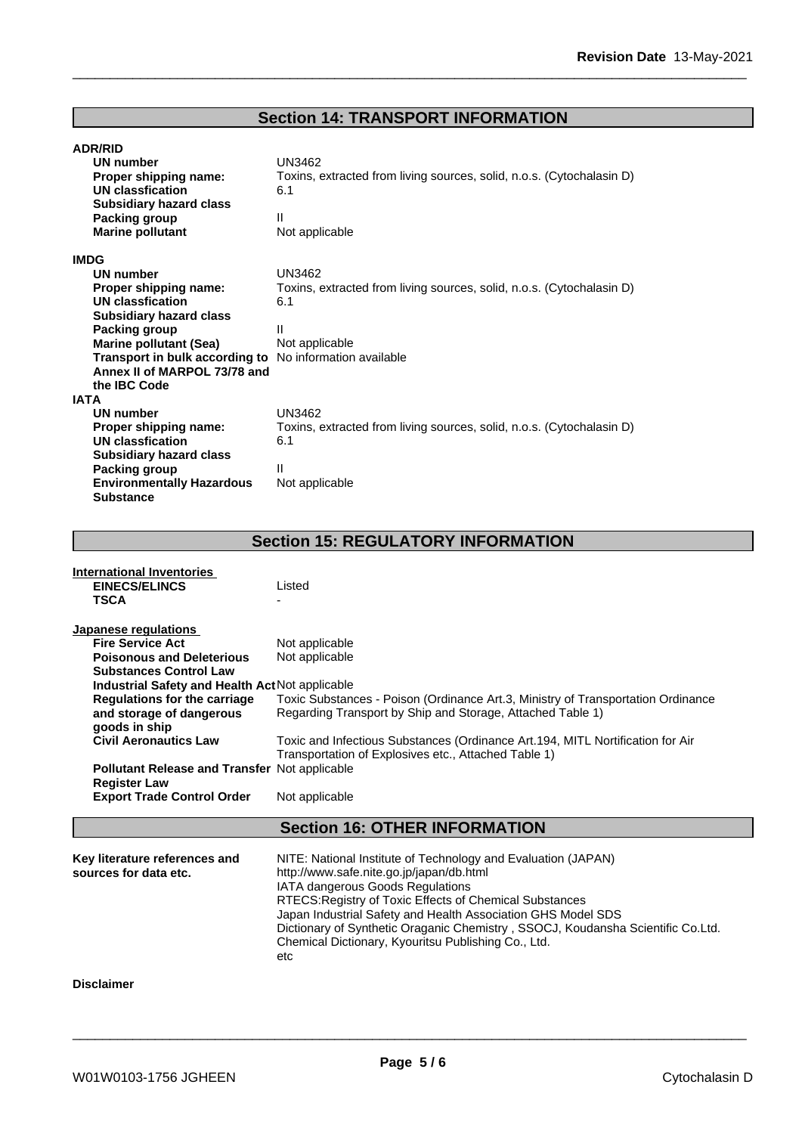# **Section 14: TRANSPORT INFORMATION**

| UN number                        | UN3462                                                                |
|----------------------------------|-----------------------------------------------------------------------|
| Proper shipping name:            | Toxins, extracted from living sources, solid, n.o.s. (Cytochalasin D) |
| <b>UN classfication</b>          | 6.1                                                                   |
| <b>Subsidiary hazard class</b>   |                                                                       |
| Packing group                    | Ш                                                                     |
| <b>Marine pollutant</b>          | Not applicable                                                        |
| <b>IMDG</b>                      |                                                                       |
| UN number                        | <b>UN3462</b>                                                         |
| Proper shipping name:            | Toxins, extracted from living sources, solid, n.o.s. (Cytochalasin D) |
| UN classfication                 | 6.1                                                                   |
| <b>Subsidiary hazard class</b>   |                                                                       |
| Packing group                    | Ш                                                                     |
| Marine pollutant (Sea)           | Not applicable                                                        |
| Transport in bulk according to   | No information available                                              |
| Annex II of MARPOL 73/78 and     |                                                                       |
| the IBC Code                     |                                                                       |
| IATA                             |                                                                       |
| UN number                        | UN3462                                                                |
| Proper shipping name:            | Toxins, extracted from living sources, solid, n.o.s. (Cytochalasin D) |
| <b>UN classfication</b>          | 6.1                                                                   |
| <b>Subsidiary hazard class</b>   |                                                                       |
| Packing group                    | Ш                                                                     |
| <b>Environmentally Hazardous</b> | Not applicable                                                        |
| <b>Substance</b>                 |                                                                       |

# **Section 15: REGULATORY INFORMATION**

| International Inventories<br><b>EINECS/ELINCS</b><br><b>TSCA</b>                                                                                                                                                                                                                                                                                                                                                | Listed                                                                                                                                                                                                                                                                                                                                                                                                                    |
|-----------------------------------------------------------------------------------------------------------------------------------------------------------------------------------------------------------------------------------------------------------------------------------------------------------------------------------------------------------------------------------------------------------------|---------------------------------------------------------------------------------------------------------------------------------------------------------------------------------------------------------------------------------------------------------------------------------------------------------------------------------------------------------------------------------------------------------------------------|
| Japanese regulations<br><b>Fire Service Act</b><br><b>Poisonous and Deleterious</b><br><b>Substances Control Law</b><br>Industrial Safety and Health Act Not applicable<br><b>Regulations for the carriage</b><br>and storage of dangerous<br>goods in ship<br><b>Civil Aeronautics Law</b><br><b>Pollutant Release and Transfer Not applicable</b><br><b>Register Law</b><br><b>Export Trade Control Order</b> | Not applicable<br>Not applicable<br>Toxic Substances - Poison (Ordinance Art.3, Ministry of Transportation Ordinance<br>Regarding Transport by Ship and Storage, Attached Table 1)<br>Toxic and Infectious Substances (Ordinance Art.194, MITL Nortification for Air<br>Transportation of Explosives etc., Attached Table 1)<br>Not applicable                                                                            |
|                                                                                                                                                                                                                                                                                                                                                                                                                 | <b>Section 16: OTHER INFORMATION</b>                                                                                                                                                                                                                                                                                                                                                                                      |
| Key literature references and<br>sources for data etc.                                                                                                                                                                                                                                                                                                                                                          | NITE: National Institute of Technology and Evaluation (JAPAN)<br>http://www.safe.nite.go.jp/japan/db.html<br>IATA dangerous Goods Regulations<br>RTECS: Registry of Toxic Effects of Chemical Substances<br>Japan Industrial Safety and Health Association GHS Model SDS<br>Dictionary of Synthetic Oraganic Chemistry, SSOCJ, Koudansha Scientific Co.Ltd.<br>Chemical Dictionary, Kyouritsu Publishing Co., Ltd.<br>etc |
| <b>Disclaimer</b>                                                                                                                                                                                                                                                                                                                                                                                               |                                                                                                                                                                                                                                                                                                                                                                                                                           |